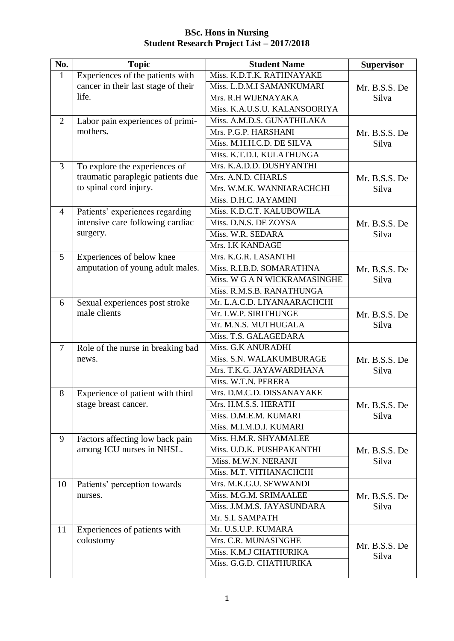| No.            | <b>Topic</b>                        | <b>Student Name</b>           | <b>Supervisor</b> |
|----------------|-------------------------------------|-------------------------------|-------------------|
| $\mathbf{1}$   | Experiences of the patients with    | Miss. K.D.T.K. RATHNAYAKE     |                   |
|                | cancer in their last stage of their | Miss. L.D.M.I SAMANKUMARI     | Mr. B.S.S. De     |
|                | life.                               | Mrs. R.H WIJENAYAKA           | Silva             |
|                |                                     | Miss. K.A.U.S.U. KALANSOORIYA |                   |
| 2              | Labor pain experiences of primi-    | Miss. A.M.D.S. GUNATHILAKA    |                   |
|                | mothers.                            | Mrs. P.G.P. HARSHANI          | Mr. B.S.S. De     |
|                |                                     | Miss. M.H.H.C.D. DE SILVA     | Silva             |
|                |                                     | Miss. K.T.D.I. KULATHUNGA     |                   |
| $\overline{3}$ | To explore the experiences of       | Mrs. K.A.D.D. DUSHYANTHI      |                   |
|                | traumatic paraplegic patients due   | Mrs. A.N.D. CHARLS            | Mr. B.S.S. De     |
|                | to spinal cord injury.              | Mrs. W.M.K. WANNIARACHCHI     | Silva             |
|                |                                     | Miss. D.H.C. JAYAMINI         |                   |
| $\overline{4}$ | Patients' experiences regarding     | Miss. K.D.C.T. KALUBOWILA     |                   |
|                | intensive care following cardiac    | Miss. D.N.S. DE ZOYSA         | Mr. B.S.S. De     |
|                | surgery.                            | Miss. W.R. SEDARA             | Silva             |
|                |                                     | Mrs. I.K KANDAGE              |                   |
| 5              | Experiences of below knee           | Mrs. K.G.R. LASANTHI          |                   |
|                | amputation of young adult males.    | Miss. R.I.B.D. SOMARATHNA     | Mr. B.S.S. De     |
|                |                                     | Miss. W G A N WICKRAMASINGHE  | Silva             |
|                |                                     | Miss. R.M.S.B. RANATHUNGA     |                   |
| 6              | Sexual experiences post stroke      | Mr. L.A.C.D. LIYANAARACHCHI   |                   |
|                | male clients                        | Mr. I.W.P. SIRITHUNGE         | Mr. B.S.S. De     |
|                |                                     | Mr. M.N.S. MUTHUGALA          | Silva             |
|                |                                     | Miss. T.S. GALAGEDARA         |                   |
| $\overline{7}$ | Role of the nurse in breaking bad   | Miss. G.K ANURADHI            |                   |
|                | news.                               | Miss. S.N. WALAKUMBURAGE      | Mr. B.S.S. De     |
|                |                                     | Mrs. T.K.G. JAYAWARDHANA      | Silva             |
|                |                                     | Miss. W.T.N. PERERA           |                   |
| 8              | Experience of patient with third    | Mrs. D.M.C.D. DISSANAYAKE     |                   |
|                | stage breast cancer.                | Mrs. H.M.S.S. HERATH          | Mr. B.S.S. De     |
|                |                                     | Miss. D.M.E.M. KUMARI         | Silva             |
|                |                                     | Miss. M.I.M.D.J. KUMARI       |                   |
| 9              | Factors affecting low back pain     | Miss. H.M.R. SHYAMALEE        |                   |
|                | among ICU nurses in NHSL.           | Miss. U.D.K. PUSHPAKANTHI     | Mr. B.S.S. De     |
|                |                                     | Miss. M.W.N. NERANJI          | Silva             |
|                |                                     | Miss. M.T. VITHANACHCHI       |                   |
| 10             | Patients' perception towards        | Mrs. M.K.G.U. SEWWANDI        |                   |
|                | nurses.                             | Miss. M.G.M. SRIMAALEE        | Mr. B.S.S. De     |
|                |                                     | Miss. J.M.M.S. JAYASUNDARA    | Silva             |
|                |                                     | Mr. S.I. SAMPATH              |                   |
| 11             | Experiences of patients with        | Mr. U.S.U.P. KUMARA           |                   |
|                | colostomy                           | Mrs. C.R. MUNASINGHE          | Mr. B.S.S. De     |
|                |                                     | Miss. K.M.J CHATHURIKA        | Silva             |
|                |                                     | Miss. G.G.D. CHATHURIKA       |                   |
|                |                                     |                               |                   |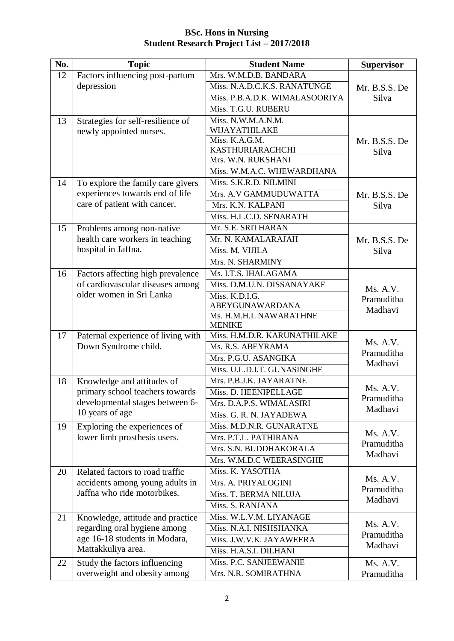| No. | <b>Topic</b>                                               | <b>Student Name</b>                           | <b>Supervisor</b> |
|-----|------------------------------------------------------------|-----------------------------------------------|-------------------|
| 12  | Factors influencing post-partum                            | Mrs. W.M.D.B. BANDARA                         |                   |
|     | depression                                                 | Miss. N.A.D.C.K.S. RANATUNGE                  | Mr. B.S.S. De     |
|     |                                                            | Miss. P.B.A.D.K. WIMALASOORIYA                | Silva             |
|     |                                                            | Miss. T.G.U. RUBERU                           |                   |
| 13  | Strategies for self-resilience of                          | Miss. N.W.M.A.N.M.                            |                   |
|     | newly appointed nurses.                                    | WIJAYATHILAKE                                 |                   |
|     |                                                            | Miss. K.A.G.M.                                | Mr. B.S.S. De     |
|     |                                                            | KASTHURIARACHCHI                              | Silva             |
|     |                                                            | Mrs. W.N. RUKSHANI                            |                   |
|     |                                                            | Miss. W.M.A.C. WIJEWARDHANA                   |                   |
| 14  | To explore the family care givers                          | Miss. S.K.R.D. NILMINI                        |                   |
|     | experiences towards end of life                            | Mrs. A.V GAMMUDUWATTA                         | Mr. B.S.S. De     |
|     | care of patient with cancer.                               | Mrs. K.N. KALPANI                             | Silva             |
|     |                                                            | Miss. H.L.C.D. SENARATH                       |                   |
| 15  | Problems among non-native                                  | Mr. S.E. SRITHARAN                            |                   |
|     | health care workers in teaching                            | Mr. N. KAMALARAJAH                            | Mr. B.S.S. De     |
|     | hospital in Jaffna.                                        | Miss. M. VIJILA                               | Silva             |
|     |                                                            | Mrs. N. SHARMINY                              |                   |
| 16  | Factors affecting high prevalence                          | Ms. I.T.S. IHALAGAMA                          |                   |
|     | of cardiovascular diseases among                           | Miss. D.M.U.N. DISSANAYAKE                    | Ms. A.V.          |
|     | older women in Sri Lanka                                   | Miss. K.D.I.G.                                | Pramuditha        |
|     |                                                            | ABEYGUNAWARDANA                               | Madhavi           |
|     |                                                            | Ms. H.M.H.L NAWARATHNE                        |                   |
| 17  |                                                            | <b>MENIKE</b><br>Miss. H.M.D.R. KARUNATHILAKE |                   |
|     | Paternal experience of living with<br>Down Syndrome child. | Ms. R.S. ABEYRAMA                             | Ms. A.V.          |
|     |                                                            | Mrs. P.G.U. ASANGIKA                          | Pramuditha        |
|     |                                                            | Miss. U.L.D.I.T. GUNASINGHE                   | Madhavi           |
| 18  | Knowledge and attitudes of                                 | Mrs. P.B.J.K. JAYARATNE                       |                   |
|     | primary school teachers towards                            | Miss. D. HEENIPELLAGE                         | Ms. A.V.          |
|     | developmental stages between 6-                            | Mrs. D.A.P.S. WIMALASIRI                      | Pramuditha        |
|     | 10 years of age                                            | Miss. G. R. N. JAYADEWA                       | Madhavi           |
| 19  | Exploring the experiences of                               | Miss. M.D.N.R. GUNARATNE                      |                   |
|     | lower limb prosthesis users.                               | Mrs. P.T.L. PATHIRANA                         | Ms. A.V.          |
|     |                                                            | Mrs. S.N. BUDDHAKORALA                        | Pramuditha        |
|     |                                                            | Mrs. W.M.D.C WEERASINGHE                      | Madhavi           |
| 20  | Related factors to road traffic                            | Miss. K. YASOTHA                              |                   |
|     | accidents among young adults in                            | Mrs. A. PRIYALOGINI                           | Ms. A.V.          |
|     | Jaffna who ride motorbikes.                                | Miss. T. BERMA NILUJA                         | Pramuditha        |
|     |                                                            |                                               | Madhavi           |
|     |                                                            | Miss. S. RANJANA                              |                   |
| 21  | Knowledge, attitude and practice                           | Miss. W.L.V.M. LIYANAGE                       | Ms. A.V.          |
|     | regarding oral hygiene among                               | Miss. N.A.I. NISHSHANKA                       | Pramuditha        |
|     | age 16-18 students in Modara,<br>Mattakkuliya area.        | Miss. J.W.V.K. JAYAWEERA                      | Madhavi           |
|     |                                                            | Miss. H.A.S.I. DILHANI                        |                   |
| 22  | Study the factors influencing                              | Miss. P.C. SANJEEWANIE                        | Ms. A.V.          |
|     | overweight and obesity among                               | Mrs. N.R. SOMIRATHNA                          | Pramuditha        |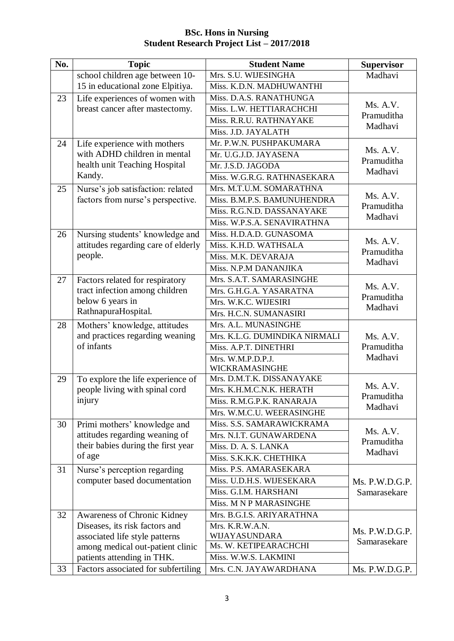| No. | <b>Topic</b>                        | <b>Student Name</b>                    | <b>Supervisor</b>     |
|-----|-------------------------------------|----------------------------------------|-----------------------|
|     | school children age between 10-     | Mrs. S.U. WIJESINGHA                   | Madhavi               |
|     | 15 in educational zone Elpitiya.    | Miss. K.D.N. MADHUWANTHI               |                       |
| 23  | Life experiences of women with      | Miss. D.A.S. RANATHUNGA                |                       |
|     | breast cancer after mastectomy.     | Miss. L.W. HETTIARACHCHI               | Ms. A.V.              |
|     |                                     | Miss. R.R.U. RATHNAYAKE                | Pramuditha<br>Madhavi |
|     |                                     | Miss. J.D. JAYALATH                    |                       |
| 24  | Life experience with mothers        | Mr. P.W.N. PUSHPAKUMARA                |                       |
|     | with ADHD children in mental        | Mr. U.G.J.D. JAYASENA                  | Ms. A.V.              |
|     | health unit Teaching Hospital       | Mr. J.S.D. JAGODA                      | Pramuditha<br>Madhavi |
|     | Kandy.                              | Miss. W.G.R.G. RATHNASEKARA            |                       |
| 25  | Nurse's job satisfaction: related   | Mrs. M.T.U.M. SOMARATHNA               |                       |
|     | factors from nurse's perspective.   | Miss. B.M.P.S. BAMUNUHENDRA            | Ms. A.V.              |
|     |                                     | Miss. R.G.N.D. DASSANAYAKE             | Pramuditha<br>Madhavi |
|     |                                     | Miss. W.P.S.A. SENAVIRATHNA            |                       |
| 26  | Nursing students' knowledge and     | Miss. H.D.A.D. GUNASOMA                |                       |
|     | attitudes regarding care of elderly | Miss. K.H.D. WATHSALA                  | Ms. A.V.              |
|     | people.                             | Miss. M.K. DEVARAJA                    | Pramuditha<br>Madhavi |
|     |                                     | Miss. N.P.M DANANJIKA                  |                       |
| 27  | Factors related for respiratory     | Mrs. S.A.T. SAMARASINGHE               |                       |
|     | tract infection among children      | Mrs. G.H.G.A. YASARATNA                | Ms. A.V.              |
|     | below 6 years in                    | Mrs. W.K.C. WIJESIRI                   | Pramuditha<br>Madhavi |
|     | RathnapuraHospital.                 | Mrs. H.C.N. SUMANASIRI                 |                       |
| 28  | Mothers' knowledge, attitudes       | Mrs. A.L. MUNASINGHE                   |                       |
|     | and practices regarding weaning     | Mrs. K.L.G. DUMINDIKA NIRMALI          | Ms. A.V.              |
|     | of infants                          | Miss. A.P.T. DINETHRI                  | Pramuditha            |
|     |                                     | Mrs. W.M.P.D.P.J.                      | Madhavi               |
|     |                                     | WICKRAMASINGHE                         |                       |
| 29  | To explore the life experience of   | Mrs. D.M.T.K. DISSANAYAKE              | Ms. A.V.              |
|     | people living with spinal cord      | Mrs. K.H.M.C.N.K. HERATH               | Pramuditha            |
|     | injury                              | Miss. R.M.G.P.K. RANARAJA              | Madhavi               |
|     |                                     | Mrs. W.M.C.U. WEERASINGHE              |                       |
| 30  | Primi mothers' knowledge and        | Miss. S.S. SAMARAWICKRAMA              | Ms. A.V.              |
|     | attitudes regarding weaning of      | Mrs. N.I.T. GUNAWARDENA                | Pramuditha            |
|     | their babies during the first year  | Miss. D. A. S. LANKA                   | Madhavi               |
|     | of age                              | Miss. S.K.K.K. CHETHIKA                |                       |
| 31  | Nurse's perception regarding        | Miss. P.S. AMARASEKARA                 |                       |
|     | computer based documentation        | Miss. U.D.H.S. WIJESEKARA              | Ms. P.W.D.G.P.        |
|     |                                     | Miss. G.I.M. HARSHANI                  | Samarasekare          |
|     |                                     | Miss. M N P MARASINGHE                 |                       |
| 32  | Awareness of Chronic Kidney         | Mrs. B.G.I.S. ARIYARATHNA              |                       |
|     | Diseases, its risk factors and      | Mrs. K.R.W.A.N.                        | Ms. P.W.D.G.P.        |
|     | associated life style patterns      | WIJAYASUNDARA<br>Ms. W. KETIPEARACHCHI | Samarasekare          |
|     | among medical out-patient clinic    | Miss. W.W.S. LAKMINI                   |                       |
|     | patients attending in THK.          |                                        |                       |
| 33  | Factors associated for subfertiling | Mrs. C.N. JAYAWARDHANA                 | Ms. P.W.D.G.P.        |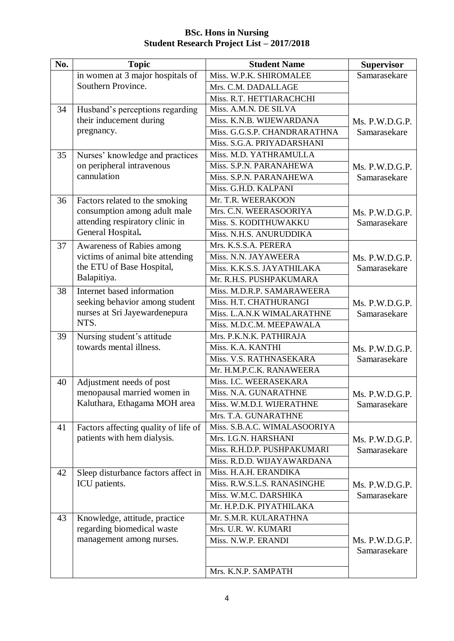| No. | <b>Topic</b>                         | <b>Student Name</b>          | <b>Supervisor</b> |
|-----|--------------------------------------|------------------------------|-------------------|
|     | in women at 3 major hospitals of     | Miss. W.P.K. SHIROMALEE      | Samarasekare      |
|     | Southern Province.                   | Mrs. C.M. DADALLAGE          |                   |
|     |                                      | Miss. R.T. HETTIARACHCHI     |                   |
| 34  | Husband's perceptions regarding      | Miss. A.M.N. DE SILVA        |                   |
|     | their inducement during              | Miss. K.N.B. WIJEWARDANA     | Ms. P.W.D.G.P.    |
|     | pregnancy.                           | Miss. G.G.S.P. CHANDRARATHNA | Samarasekare      |
|     |                                      | Miss. S.G.A. PRIYADARSHANI   |                   |
| 35  | Nurses' knowledge and practices      | Miss. M.D. YATHRAMULLA       |                   |
|     | on peripheral intravenous            | Miss. S.P.N. PARANAHEWA      | Ms. P.W.D.G.P.    |
|     | cannulation                          | Miss. S.P.N. PARANAHEWA      | Samarasekare      |
|     |                                      | Miss. G.H.D. KALPANI         |                   |
| 36  | Factors related to the smoking       | Mr. T.R. WEERAKOON           |                   |
|     | consumption among adult male         | Mrs. C.N. WEERASOORIYA       | Ms. P.W.D.G.P.    |
|     | attending respiratory clinic in      | Miss. S. KODITHUWAKKU        | Samarasekare      |
|     | General Hospital.                    | Miss. N.H.S. ANURUDDIKA      |                   |
| 37  | Awareness of Rabies among            | Mrs. K.S.S.A. PERERA         |                   |
|     | victims of animal bite attending     | Miss. N.N. JAYAWEERA         | Ms. P.W.D.G.P.    |
|     | the ETU of Base Hospital,            | Miss. K.K.S.S. JAYATHILAKA   | Samarasekare      |
|     | Balapitiya.                          | Mr. R.H.S. PUSHPAKUMARA      |                   |
| 38  | Internet based information           | Miss. M.D.R.P. SAMARAWEERA   |                   |
|     | seeking behavior among student       | Miss. H.T. CHATHURANGI       | Ms. P.W.D.G.P.    |
|     | nurses at Sri Jayewardenepura        | Miss. L.A.N.K WIMALARATHNE   | Samarasekare      |
|     | NTS.                                 | Miss. M.D.C.M. MEEPAWALA     |                   |
| 39  | Nursing student's attitude           | Mrs. P.K.N.K. PATHIRAJA      |                   |
|     | towards mental illness.              | Miss. K.A. KANTHI            | Ms. P.W.D.G.P.    |
|     |                                      | Miss. V.S. RATHNASEKARA      | Samarasekare      |
|     |                                      | Mr. H.M.P.C.K. RANAWEERA     |                   |
| 40  | Adjustment needs of post             | Miss. I.C. WEERASEKARA       |                   |
|     | menopausal married women in          | Miss. N.A. GUNARATHNE        | Ms. P.W.D.G.P.    |
|     | Kaluthara, Ethagama MOH area         | Miss. W.M.D.I. WIJERATHNE    | Samarasekare      |
|     |                                      | Mrs. T.A. GUNARATHNE         |                   |
| 41  | Factors affecting quality of life of | Miss. S.B.A.C. WIMALASOORIYA |                   |
|     | patients with hem dialysis.          | Mrs. I.G.N. HARSHANI         | Ms. P.W.D.G.P.    |
|     |                                      | Miss. R.H.D.P. PUSHPAKUMARI  | Samarasekare      |
|     |                                      | Miss. R.D.D. WIJAYAWARDANA   |                   |
| 42  | Sleep disturbance factors affect in  | Miss. H.A.H. ERANDIKA        |                   |
|     | ICU patients.                        | Miss. R.W.S.L.S. RANASINGHE  | Ms. P.W.D.G.P.    |
|     |                                      | Miss. W.M.C. DARSHIKA        | Samarasekare      |
|     |                                      | Mr. H.P.D.K. PIYATHILAKA     |                   |
| 43  | Knowledge, attitude, practice        | Mr. S.M.R. KULARATHNA        |                   |
|     | regarding biomedical waste           | Mrs. U.R. W. KUMARI          |                   |
|     | management among nurses.             | Miss. N.W.P. ERANDI          | Ms. P.W.D.G.P.    |
|     |                                      |                              | Samarasekare      |
|     |                                      |                              |                   |
|     |                                      | Mrs. K.N.P. SAMPATH          |                   |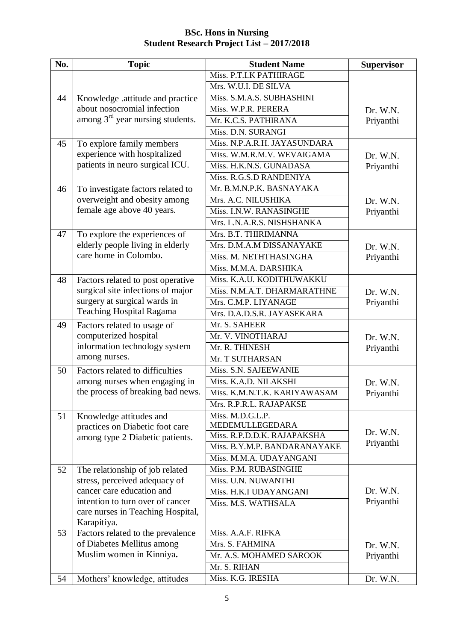| No. | <b>Topic</b>                                                     | <b>Student Name</b>                            | <b>Supervisor</b> |
|-----|------------------------------------------------------------------|------------------------------------------------|-------------------|
|     |                                                                  | Miss. P.T.I.K PATHIRAGE                        |                   |
|     |                                                                  | Mrs. W.U.I. DE SILVA                           |                   |
| 44  | Knowledge .attitude and practice                                 | Miss. S.M.A.S. SUBHASHINI                      |                   |
|     | about nosocromial infection                                      | Miss. W.P.R. PERERA                            | Dr. W.N.          |
|     | among $3rd$ year nursing students.                               | Mr. K.C.S. PATHIRANA                           | Priyanthi         |
|     |                                                                  | Miss. D.N. SURANGI                             |                   |
| 45  | To explore family members                                        | Miss. N.P.A.R.H. JAYASUNDARA                   |                   |
|     | experience with hospitalized                                     | Miss. W.M.R.M.V. WEVAIGAMA                     | Dr. W.N.          |
|     | patients in neuro surgical ICU.                                  | Miss. H.K.N.S. GUNADASA                        | Priyanthi         |
|     |                                                                  | Miss. R.G.S.D RANDENIYA                        |                   |
| 46  | To investigate factors related to                                | Mr. B.M.N.P.K. BASNAYAKA                       |                   |
|     | overweight and obesity among                                     | Mrs. A.C. NILUSHIKA                            | Dr. W.N.          |
|     | female age above 40 years.                                       | Miss. I.N.W. RANASINGHE                        | Priyanthi         |
|     |                                                                  | Mrs. L.N.A.R.S. NISHSHANKA                     |                   |
| 47  | To explore the experiences of                                    | Mrs. B.T. THIRIMANNA                           |                   |
|     | elderly people living in elderly                                 | Mrs. D.M.A.M DISSANAYAKE                       | Dr. W.N.          |
|     | care home in Colombo.                                            | Miss. M. NETHTHASINGHA                         | Priyanthi         |
|     |                                                                  | Miss. M.M.A. DARSHIKA                          |                   |
| 48  | Factors related to post operative                                | Miss. K.A.U. KODITHUWAKKU                      |                   |
|     | surgical site infections of major                                | Miss. N.M.A.T. DHARMARATHNE                    | Dr. W.N.          |
|     | surgery at surgical wards in                                     | Mrs. C.M.P. LIYANAGE                           | Priyanthi         |
|     | <b>Teaching Hospital Ragama</b>                                  | Mrs. D.A.D.S.R. JAYASEKARA                     |                   |
| 49  | Factors related to usage of                                      | Mr. S. SAHEER                                  |                   |
|     | computerized hospital                                            | Mr. V. VINOTHARAJ                              | Dr. W.N.          |
|     | information technology system                                    | Mr. R. THINESH                                 | Priyanthi         |
|     | among nurses.                                                    | Mr. T SUTHARSAN                                |                   |
| 50  | Factors related to difficulties                                  | Miss. S.N. SAJEEWANIE                          |                   |
|     | among nurses when engaging in                                    | Miss. K.A.D. NILAKSHI                          | Dr. W.N.          |
|     | the process of breaking bad news.                                | Miss. K.M.N.T.K. KARIYAWASAM                   | Priyanthi         |
|     |                                                                  | Mrs. R.P.R.L. RAJAPAKSE                        |                   |
| 51  | Knowledge attitudes and                                          | Miss. M.D.G.L.P.                               |                   |
|     | practices on Diabetic foot care                                  | MEDEMULLEGEDARA<br>Miss. R.P.D.D.K. RAJAPAKSHA | Dr. W.N.          |
|     | among type 2 Diabetic patients.                                  | Miss. B.Y.M.P. BANDARANAYAKE                   | Priyanthi         |
|     |                                                                  | Miss. M.M.A. UDAYANGANI                        |                   |
|     |                                                                  | Miss. P.M. RUBASINGHE                          |                   |
| 52  | The relationship of job related<br>stress, perceived adequacy of | Miss. U.N. NUWANTHI                            |                   |
|     | cancer care education and                                        | Miss. H.K.I UDAYANGANI                         | Dr. W.N.          |
|     | intention to turn over of cancer                                 | Miss. M.S. WATHSALA                            | Priyanthi         |
|     | care nurses in Teaching Hospital,                                |                                                |                   |
|     | Karapitiya.                                                      |                                                |                   |
| 53  | Factors related to the prevalence                                | Miss. A.A.F. RIFKA                             |                   |
|     | of Diabetes Mellitus among                                       | Mrs. S. FAHMINA                                | Dr. W.N.          |
|     | Muslim women in Kinniya.                                         | Mr. A.S. MOHAMED SAROOK                        | Priyanthi         |
|     |                                                                  | Mr. S. RIHAN                                   |                   |
| 54  | Mothers' knowledge, attitudes                                    | Miss. K.G. IRESHA                              | Dr. W.N.          |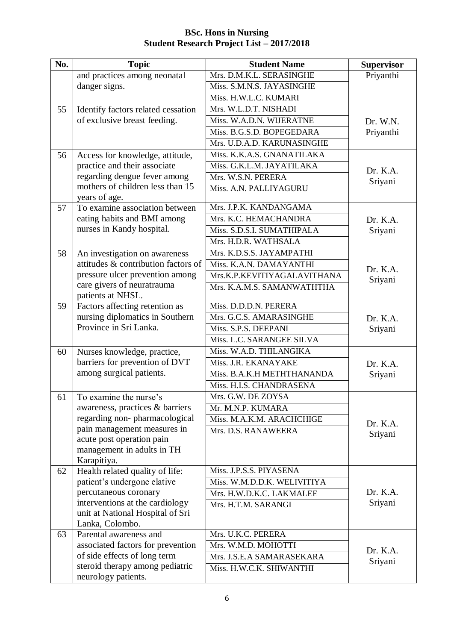#### **No. Topic Student Name Supervisor** and practices among neonatal danger signs. Mrs. D.M.K.L. SERASINGHE Priyanthi Miss. S.M.N.S. JAYASINGHE Miss. H.W.L.C. KUMARI 55 Identify factors related cessation of exclusive breast feeding. Mrs. W.L.D.T. NISHADI Dr. W.N. Priyanthi Miss. W.A.D.N. WIJERATNE Miss. B.G.S.D. BOPEGEDARA Mrs. U.D.A.D. KARUNASINGHE 56 Access for knowledge, attitude, practice and their associate regarding dengue fever among mothers of children less than 15 years of age. Miss. K.K.A.S. GNANATILAKA Dr. K.A. Sriyani Miss. G.K.L.M. JAYATILAKA Mrs. W.S.N. PERERA Miss. A.N. PALLIYAGURU 57 To examine association between eating habits and BMI among nurses in Kandy hospital. Mrs. J.P.K. KANDANGAMA Dr. K.A. Sriyani Mrs. K.C. HEMACHANDRA Miss. S.D.S.I. SUMATHIPALA Mrs. H.D.R. WATHSALA 58 An investigation on awareness attitudes & contribution factors of pressure ulcer prevention among care givers of neuratrauma patients at NHSL. Mrs. K.D.S.S. JAYAMPATHI Dr. K.A. Sriyani Miss. K.A.N. DAMAYANTHI Mrs.K.P.KEVITIYAGALAVITHANA Mrs. K.A.M.S. SAMANWATHTHA 59 Factors affecting retention as nursing diplomatics in Southern Province in Sri Lanka. Miss. D.D.D.N. PERERA Dr. K.A. Sriyani Mrs. G.C.S. AMARASINGHE Miss. S.P.S. DEEPANI Miss. L.C. SARANGEE SILVA 60 Nurses knowledge, practice, barriers for prevention of DVT among surgical patients. Miss. W.A.D. THILANGIKA Dr. K.A. Sriyani Miss. J.R. EKANAYAKE Miss. B.A.K.H METHTHANANDA Miss. H.I.S. CHANDRASENA 61 To examine the nurse's awareness, practices & barriers regarding non- pharmacological pain management measures in acute post operation pain management in adults in TH Karapitiya. Mrs. G.W. DE ZOYSA Dr. K.A. Sriyani Mr. M.N.P. KUMARA Miss. M.A.K.M. ARACHCHIGE Mrs. D.S. RANAWEERA 62 Health related quality of life: patient's undergone elative percutaneous coronary interventions at the cardiology unit at National Hospital of Sri Lanka, Colombo. Miss. J.P.S.S. PIYASENA Dr. K.A. Sriyani Miss. W.M.D.D.K. WELIVITIYA Mrs. H.W.D.K.C. LAKMALEE Mrs. H.T.M. SARANGI 63 Parental awareness and associated factors for prevention of side effects of long term steroid therapy among pediatric neurology patients. Mrs. U.K.C. PERERA Dr. K.A. Sriyani Mrs. W.M.D. MOHOTTI Mrs. J.S.E.A SAMARASEKARA Miss. H.W.C.K. SHIWANTHI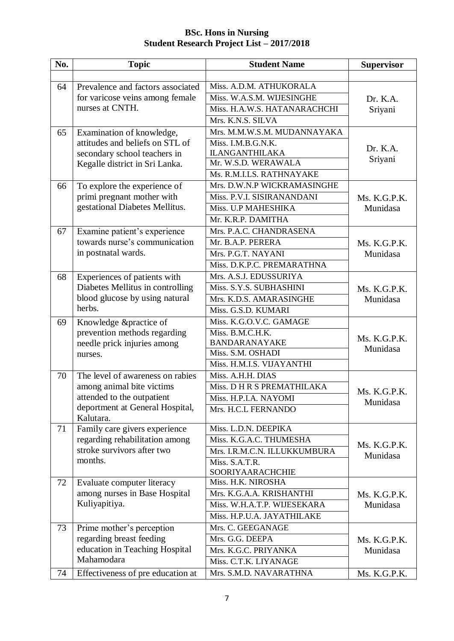| No. | <b>Topic</b>                                                                                                 | <b>Student Name</b>                          | <b>Supervisor</b>        |
|-----|--------------------------------------------------------------------------------------------------------------|----------------------------------------------|--------------------------|
|     |                                                                                                              |                                              |                          |
| 64  | Prevalence and factors associated<br>for varicose veins among female<br>nurses at CNTH.                      | Miss. A.D.M. ATHUKORALA                      |                          |
|     |                                                                                                              | Miss. W.A.S.M. WIJESINGHE                    | Dr. K.A.                 |
|     |                                                                                                              | Miss. H.A.W.S. HATANARACHCHI                 | Sriyani                  |
|     |                                                                                                              | Mrs. K.N.S. SILVA                            |                          |
| 65  | Examination of knowledge,                                                                                    | Mrs. M.M.W.S.M. MUDANNAYAKA                  |                          |
|     | attitudes and beliefs on STL of                                                                              | Miss. I.M.B.G.N.K.                           | Dr. K.A.                 |
|     | secondary school teachers in                                                                                 | <b>ILANGANTHILAKA</b><br>Mr. W.S.D. WERAWALA | Sriyani                  |
|     | Kegalle district in Sri Lanka.                                                                               | Ms. R.M.I.LS. RATHNAYAKE                     |                          |
| 66  |                                                                                                              | Mrs. D.W.N.P WICKRAMASINGHE                  |                          |
|     | To explore the experience of<br>primi pregnant mother with                                                   | Miss. P.V.I. SISIRANANDANI                   |                          |
|     | gestational Diabetes Mellitus.                                                                               | Miss. U.P MAHESHIKA                          | Ms. K.G.P.K.<br>Munidasa |
|     |                                                                                                              | Mr. K.R.P. DAMITHA                           |                          |
| 67  | Examine patient's experience                                                                                 | Mrs. P.A.C. CHANDRASENA                      |                          |
|     | towards nurse's communication                                                                                | Mr. B.A.P. PERERA                            | Ms. K.G.P.K.             |
|     | in postnatal wards.                                                                                          | Mrs. P.G.T. NAYANI                           | Munidasa                 |
|     |                                                                                                              | Miss. D.K.P.C. PREMARATHNA                   |                          |
| 68  |                                                                                                              | Mrs. A.S.J. EDUSSURIYA                       |                          |
|     | Experiences of patients with<br>Diabetes Mellitus in controlling<br>blood glucose by using natural<br>herbs. | Miss. S.Y.S. SUBHASHINI                      |                          |
|     |                                                                                                              | Mrs. K.D.S. AMARASINGHE                      | Ms. K.G.P.K.<br>Munidasa |
|     |                                                                                                              | Miss. G.S.D. KUMARI                          |                          |
| 69  |                                                                                                              | Miss. K.G.O.V.C. GAMAGE                      |                          |
|     | Knowledge &practice of<br>prevention methods regarding<br>needle prick injuries among<br>nurses.             | Miss. B.M.C.H.K.                             | Ms. K.G.P.K.<br>Munidasa |
|     |                                                                                                              | BANDARANAYAKE                                |                          |
|     |                                                                                                              | Miss. S.M. OSHADI                            |                          |
|     |                                                                                                              | Miss. H.M.I.S. VIJAYANTHI                    |                          |
| 70  | The level of awareness on rabies<br>among animal bite victims                                                | Miss. A.H.H. DIAS                            |                          |
|     |                                                                                                              | Miss. D H R S PREMATHILAKA                   | Ms. K.G.P.K.             |
|     | attended to the outpatient                                                                                   | Miss. H.P.I.A. NAYOMI                        | Munidasa                 |
|     | deportment at General Hospital,                                                                              | Mrs. H.C.L FERNANDO                          |                          |
|     | Kalutara.                                                                                                    |                                              |                          |
| 71  | Family care givers experience                                                                                | Miss. L.D.N. DEEPIKA                         | Ms. K.G.P.K.             |
|     | regarding rehabilitation among<br>stroke survivors after two<br>months.                                      | Miss. K.G.A.C. THUMESHA                      |                          |
|     |                                                                                                              | Mrs. I.R.M.C.N. ILLUKKUMBURA                 | Munidasa                 |
|     |                                                                                                              | Miss. S.A.T.R.                               |                          |
|     | Evaluate computer literacy                                                                                   | SOORIYAARACHCHIE<br>Miss. H.K. NIROSHA       |                          |
| 72  | among nurses in Base Hospital                                                                                | Mrs. K.G.A.A. KRISHANTHI                     | Ms. K.G.P.K.             |
|     | Kuliyapitiya.                                                                                                | Miss. W.H.A.T.P. WIJESEKARA                  | Munidasa                 |
|     |                                                                                                              | Miss. H.P.U.A. JAYATHILAKE                   |                          |
| 73  |                                                                                                              | Mrs. C. GEEGANAGE                            |                          |
|     | Prime mother's perception<br>regarding breast feeding<br>education in Teaching Hospital<br>Mahamodara        | Mrs. G.G. DEEPA                              | Ms. K.G.P.K.             |
|     |                                                                                                              | Mrs. K.G.C. PRIYANKA                         | Munidasa                 |
|     |                                                                                                              | Miss. C.T.K. LIYANAGE                        |                          |
| 74  | Effectiveness of pre education at                                                                            | Mrs. S.M.D. NAVARATHNA                       | Ms. K.G.P.K.             |
|     |                                                                                                              |                                              |                          |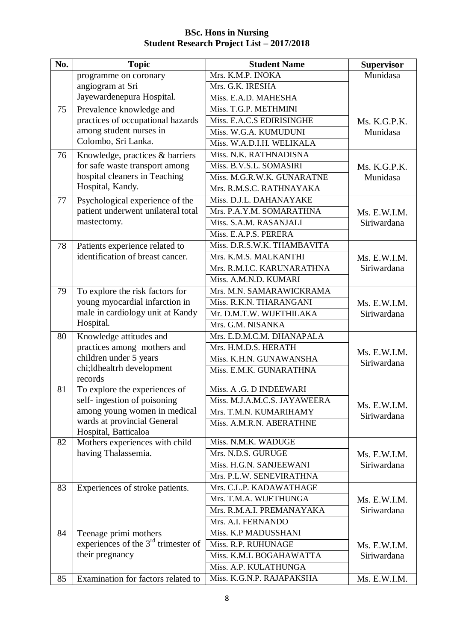| No. | <b>Topic</b>                                                 | <b>Student Name</b>                                    | <b>Supervisor</b> |
|-----|--------------------------------------------------------------|--------------------------------------------------------|-------------------|
|     | programme on coronary                                        | Mrs. K.M.P. INOKA                                      | Munidasa          |
|     | angiogram at Sri                                             | Mrs. G.K. IRESHA                                       |                   |
|     | Jayewardenepura Hospital.                                    | Miss. E.A.D. MAHESHA                                   |                   |
| 75  | Prevalence knowledge and                                     | Miss. T.G.P. METHMINI                                  |                   |
|     | practices of occupational hazards                            | Miss. E.A.C.S EDIRISINGHE                              | Ms. K.G.P.K.      |
|     | among student nurses in                                      | Miss. W.G.A. KUMUDUNI                                  | Munidasa          |
|     | Colombo, Sri Lanka.                                          | Miss. W.A.D.I.H. WELIKALA                              |                   |
| 76  | Knowledge, practices & barriers                              | Miss. N.K. RATHNADISNA                                 |                   |
|     | for safe waste transport among                               | Miss. B.V.S.L. SOMASIRI                                | Ms. K.G.P.K.      |
|     | hospital cleaners in Teaching                                | Miss. M.G.R.W.K. GUNARATNE                             | Munidasa          |
|     | Hospital, Kandy.                                             | Mrs. R.M.S.C. RATHNAYAKA                               |                   |
| 77  | Psychological experience of the                              | Miss. D.J.L. DAHANAYAKE                                |                   |
|     | patient underwent unilateral total                           | Mrs. P.A.Y.M. SOMARATHNA                               | Ms. E.W.I.M.      |
|     | mastectomy.                                                  | Miss. S.A.M. RASANJALI                                 | Siriwardana       |
|     |                                                              | Miss. E.A.P.S. PERERA                                  |                   |
| 78  | Patients experience related to                               | Miss. D.R.S.W.K. THAMBAVITA                            |                   |
|     | identification of breast cancer.                             | Mrs. K.M.S. MALKANTHI                                  | Ms. E.W.I.M.      |
|     |                                                              | Mrs. R.M.I.C. KARUNARATHNA                             | Siriwardana       |
|     |                                                              | Miss. A.M.N.D. KUMARI                                  |                   |
| 79  | To explore the risk factors for                              | Mrs. M.N. SAMARAWICKRAMA                               |                   |
|     | young myocardial infarction in                               | Miss. R.K.N. THARANGANI                                | Ms. E.W.I.M.      |
|     | male in cardiology unit at Kandy                             | Mr. D.M.T.W. WIJETHILAKA                               | Siriwardana       |
|     | Hospital.                                                    | Mrs. G.M. NISANKA                                      |                   |
| 80  | Knowledge attitudes and                                      | Mrs. E.D.M.C.M. DHANAPALA                              |                   |
|     | practices among mothers and                                  | Mrs. H.M.D.S. HERATH                                   | Ms. E.W.I.M.      |
|     | children under 5 years                                       | Miss. K.H.N. GUNAWANSHA                                | Siriwardana       |
|     | chi;ldhealtrh development                                    | Miss. E.M.K. GUNARATHNA                                |                   |
|     | records                                                      |                                                        |                   |
| 81  | To explore the experiences of<br>self-ingestion of poisoning | Miss. A .G. D INDEEWARI                                |                   |
|     | among young women in medical                                 | Miss. M.J.A.M.C.S. JAYAWEERA<br>Mrs. T.M.N. KUMARIHAMY | Ms. E.W.I.M.      |
|     | wards at provincial General                                  | Miss. A.M.R.N. ABERATHNE                               | Siriwardana       |
|     | Hospital, Batticaloa                                         |                                                        |                   |
| 82  | Mothers experiences with child                               | Miss. N.M.K. WADUGE                                    |                   |
|     | having Thalassemia.                                          | Mrs. N.D.S. GURUGE                                     | Ms. E.W.I.M.      |
|     |                                                              | Miss. H.G.N. SANJEEWANI                                | Siriwardana       |
|     |                                                              | Mrs. P.L.W. SENEVIRATHNA                               |                   |
| 83  | Experiences of stroke patients.                              | Mrs. C.L.P. KADAWATHAGE                                |                   |
|     |                                                              | Mrs. T.M.A. WIJETHUNGA                                 | Ms. E.W.I.M.      |
|     |                                                              | Mrs. R.M.A.I. PREMANAYAKA                              | Siriwardana       |
|     |                                                              | Mrs. A.I. FERNANDO                                     |                   |
| 84  | Teenage primi mothers                                        | Miss. K.P MADUSSHANI                                   |                   |
|     | experiences of the $3rd$ trimester of                        | Miss. R.P. RUHUNAGE                                    | Ms. E.W.I.M.      |
|     | their pregnancy                                              | Miss. K.M.L BOGAHAWATTA                                | Siriwardana       |
|     |                                                              | Miss. A.P. KULATHUNGA                                  |                   |
| 85  | Examination for factors related to                           | Miss. K.G.N.P. RAJAPAKSHA                              | Ms. E.W.I.M.      |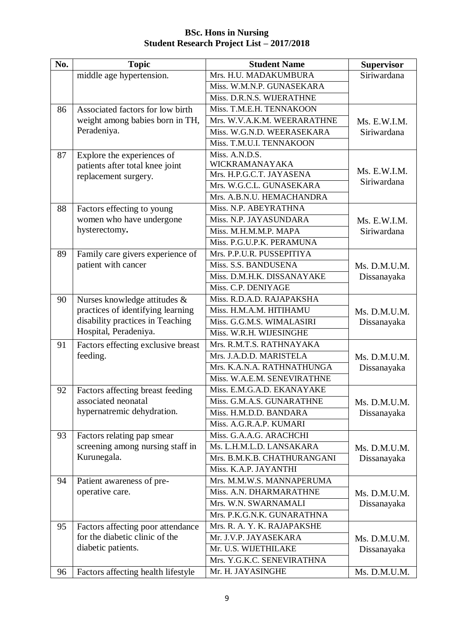| No. | <b>Topic</b>                       | <b>Student Name</b>         | <b>Supervisor</b> |
|-----|------------------------------------|-----------------------------|-------------------|
|     | middle age hypertension.           | Mrs. H.U. MADAKUMBURA       | Siriwardana       |
|     |                                    | Miss. W.M.N.P. GUNASEKARA   |                   |
|     |                                    | Miss. D.R.N.S. WIJERATHNE   |                   |
| 86  | Associated factors for low birth   | Miss. T.M.E.H. TENNAKOON    |                   |
|     | weight among babies born in TH,    | Mrs. W.V.A.K.M. WEERARATHNE | Ms. E.W.I.M.      |
|     | Peradeniya.                        | Miss. W.G.N.D. WEERASEKARA  | Siriwardana       |
|     |                                    | Miss. T.M.U.I. TENNAKOON    |                   |
| 87  | Explore the experiences of         | Miss. A.N.D.S.              |                   |
|     | patients after total knee joint    | WICKRAMANAYAKA              | Ms. E.W.I.M.      |
|     | replacement surgery.               | Mrs. H.P.G.C.T. JAYASENA    | Siriwardana       |
|     |                                    | Mrs. W.G.C.L. GUNASEKARA    |                   |
|     |                                    | Mrs. A.B.N.U. HEMACHANDRA   |                   |
| 88  | Factors effecting to young         | Miss. N.P. ABEYRATHNA       |                   |
|     | women who have undergone           | Miss. N.P. JAYASUNDARA      | Ms. E.W.I.M.      |
|     | hysterectomy.                      | Miss. M.H.M.M.P. MAPA       | Siriwardana       |
|     |                                    | Miss. P.G.U.P.K. PERAMUNA   |                   |
| 89  | Family care givers experience of   | Mrs. P.P.U.R. PUSSEPITIYA   |                   |
|     | patient with cancer                | Miss. S.S. BANDUSENA        | Ms. D.M.U.M.      |
|     |                                    | Miss. D.M.H.K. DISSANAYAKE  | Dissanayaka       |
|     |                                    | Miss. C.P. DENIYAGE         |                   |
| 90  | Nurses knowledge attitudes &       | Miss. R.D.A.D. RAJAPAKSHA   |                   |
|     | practices of identifying learning  | Miss. H.M.A.M. HITIHAMU     | Ms. D.M.U.M.      |
|     | disability practices in Teaching   | Miss. G.G.M.S. WIMALASIRI   | Dissanayaka       |
|     | Hospital, Peradeniya.              | Miss. W.R.H. WIJESINGHE     |                   |
| 91  | Factors effecting exclusive breast | Mrs. R.M.T.S. RATHNAYAKA    |                   |
|     | feeding.                           | Mrs. J.A.D.D. MARISTELA     | Ms. D.M.U.M.      |
|     |                                    | Mrs. K.A.N.A. RATHNATHUNGA  | Dissanayaka       |
|     |                                    | Miss. W.A.E.M. SENEVIRATHNE |                   |
| 92  | Factors affecting breast feeding   | Miss. E.M.G.A.D. EKANAYAKE  |                   |
|     | associated neonatal                | Miss. G.M.A.S. GUNARATHNE   | Ms. D.M.U.M.      |
|     | hypernatremic dehydration.         | Miss. H.M.D.D. BANDARA      | Dissanayaka       |
|     |                                    | Miss. A.G.R.A.P. KUMARI     |                   |
| 93  | Factors relating pap smear         | Miss. G.A.A.G. ARACHCHI     |                   |
|     | screening among nursing staff in   | Ms. L.H.M.L.D. LANSAKARA    | Ms. D.M.U.M.      |
|     | Kurunegala.                        | Mrs. B.M.K.B. CHATHURANGANI | Dissanayaka       |
|     |                                    | Miss. K.A.P. JAYANTHI       |                   |
| 94  | Patient awareness of pre-          | Mrs. M.M.W.S. MANNAPERUMA   |                   |
|     | operative care.                    | Miss. A.N. DHARMARATHNE     | Ms. D.M.U.M.      |
|     |                                    | Mrs. W.N. SWARNAMALI        | Dissanayaka       |
|     |                                    | Mrs. P.K.G.N.K. GUNARATHNA  |                   |
| 95  | Factors affecting poor attendance  | Mrs. R. A. Y. K. RAJAPAKSHE |                   |
|     | for the diabetic clinic of the     | Mr. J.V.P. JAYASEKARA       | Ms. D.M.U.M.      |
|     | diabetic patients.                 | Mr. U.S. WIJETHILAKE        | Dissanayaka       |
|     |                                    | Mrs. Y.G.K.C. SENEVIRATHNA  |                   |
| 96  | Factors affecting health lifestyle | Mr. H. JAYASINGHE           | Ms. D.M.U.M.      |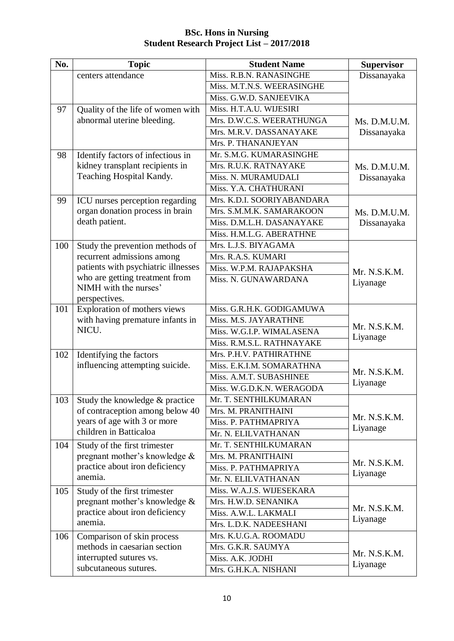| No. | <b>Topic</b>                                          | <b>Student Name</b>        | <b>Supervisor</b> |
|-----|-------------------------------------------------------|----------------------------|-------------------|
|     | centers attendance                                    | Miss. R.B.N. RANASINGHE    | Dissanayaka       |
|     |                                                       | Miss. M.T.N.S. WEERASINGHE |                   |
|     |                                                       | Miss. G.W.D. SANJEEVIKA    |                   |
| 97  | Quality of the life of women with                     | Miss. H.T.A.U. WIJESIRI    |                   |
|     | abnormal uterine bleeding.                            | Mrs. D.W.C.S. WEERATHUNGA  | Ms. D.M.U.M.      |
|     |                                                       | Mrs. M.R.V. DASSANAYAKE    | Dissanayaka       |
|     |                                                       | Mrs. P. THANANJEYAN        |                   |
| 98  | Identify factors of infectious in                     | Mr. S.M.G. KUMARASINGHE    |                   |
|     | kidney transplant recipients in                       | Mrs. R.U.K. RATNAYAKE      | Ms. D.M.U.M.      |
|     | Teaching Hospital Kandy.                              | Miss. N. MURAMUDALI        | Dissanayaka       |
|     |                                                       | Miss. Y.A. CHATHURANI      |                   |
| 99  | ICU nurses perception regarding                       | Mrs. K.D.I. SOORIYABANDARA |                   |
|     | organ donation process in brain                       | Mrs. S.M.M.K. SAMARAKOON   | Ms. D.M.U.M.      |
|     | death patient.                                        | Miss. D.M.L.H. DASANAYAKE  | Dissanayaka       |
|     |                                                       | Miss. H.M.L.G. ABERATHNE   |                   |
| 100 | Study the prevention methods of                       | Mrs. L.J.S. BIYAGAMA       |                   |
|     | recurrent admissions among                            | Mrs. R.A.S. KUMARI         |                   |
|     | patients with psychiatric illnesses                   | Miss. W.P.M. RAJAPAKSHA    | Mr. N.S.K.M.      |
|     | who are getting treatment from                        | Miss. N. GUNAWARDANA       | Liyanage          |
|     | NIMH with the nurses'                                 |                            |                   |
|     | perspectives.                                         |                            |                   |
| 101 | Exploration of mothers views                          | Miss. G.R.H.K. GODIGAMUWA  |                   |
|     | with having premature infants in<br>NICU.             | Miss. M.S. JAYARATHNE      | Mr. N.S.K.M.      |
|     |                                                       | Miss. W.G.I.P. WIMALASENA  | Liyanage          |
|     |                                                       | Miss. R.M.S.L. RATHNAYAKE  |                   |
| 102 | Identifying the factors                               | Mrs. P.H.V. PATHIRATHNE    |                   |
|     | influencing attempting suicide.                       | Miss. E.K.I.M. SOMARATHNA  | Mr. N.S.K.M.      |
|     |                                                       | Miss. A.M.T. SUBASHINEE    | Liyanage          |
|     |                                                       | Miss. W.G.D.K.N. WERAGODA  |                   |
| 103 | Study the knowledge & practice                        | Mr. T. SENTHILKUMARAN      |                   |
|     | of contraception among below 40                       | Mrs. M. PRANITHAINI        | Mr. N.S.K.M.      |
|     | years of age with 3 or more<br>children in Batticaloa | Miss. P. PATHMAPRIYA       | Liyanage          |
|     |                                                       | Mr. N. ELILVATHANAN        |                   |
| 104 | Study of the first trimester                          | Mr. T. SENTHILKUMARAN      |                   |
|     | pregnant mother's knowledge $\&$                      | Mrs. M. PRANITHAINI        | Mr. N.S.K.M.      |
|     | practice about iron deficiency<br>anemia.             | Miss. P. PATHMAPRIYA       | Liyanage          |
|     |                                                       | Mr. N. ELILVATHANAN        |                   |
| 105 | Study of the first trimester                          | Miss. W.A.J.S. WIJESEKARA  |                   |
|     | pregnant mother's knowledge &                         | Mrs. H.W.D. SENANIKA       | Mr. N.S.K.M.      |
|     | practice about iron deficiency<br>anemia.             | Miss. A.W.L. LAKMALI       | Liyanage          |
|     |                                                       | Mrs. L.D.K. NADEESHANI     |                   |
| 106 | Comparison of skin process                            | Mrs. K.U.G.A. ROOMADU      |                   |
|     | methods in caesarian section                          | Mrs. G.K.R. SAUMYA         | Mr. N.S.K.M.      |
|     | interrupted sutures vs.                               | Miss. A.K. JODHI           | Liyanage          |
|     | subcutaneous sutures.                                 | Mrs. G.H.K.A. NISHANI      |                   |